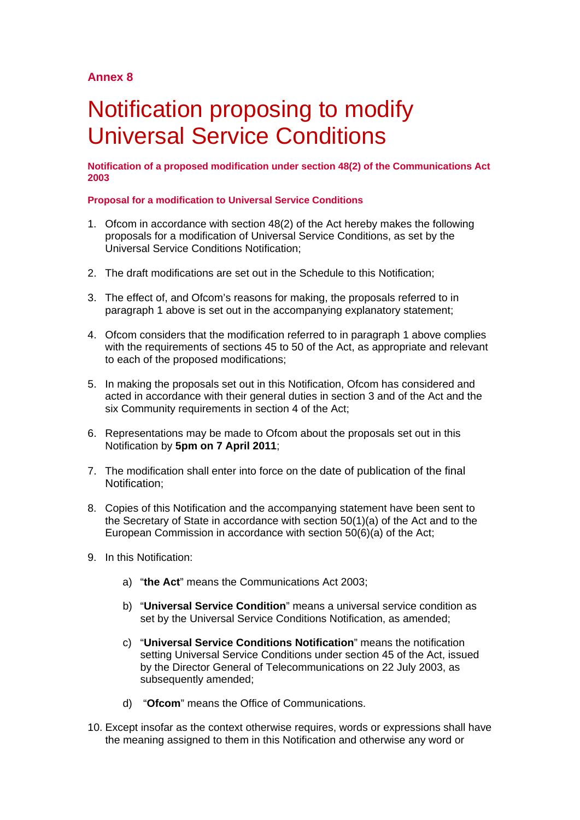## **Annex 8**

# Notification proposing to modify Universal Service Conditions

**Notification of a proposed modification under section 48(2) of the Communications Act 2003** 

## **Proposal for a modification to Universal Service Conditions**

- 1. Ofcom in accordance with section 48(2) of the Act hereby makes the following proposals for a modification of Universal Service Conditions, as set by the Universal Service Conditions Notification;
- 2. The draft modifications are set out in the Schedule to this Notification;
- 3. The effect of, and Ofcom's reasons for making, the proposals referred to in paragraph 1 above is set out in the accompanying explanatory statement;
- 4. Ofcom considers that the modification referred to in paragraph 1 above complies with the requirements of sections 45 to 50 of the Act, as appropriate and relevant to each of the proposed modifications;
- 5. In making the proposals set out in this Notification, Ofcom has considered and acted in accordance with their general duties in section 3 and of the Act and the six Community requirements in section 4 of the Act;
- 6. Representations may be made to Ofcom about the proposals set out in this Notification by **5pm on 7 April 2011**;
- 7. The modification shall enter into force on the date of publication of the final Notification;
- 8. Copies of this Notification and the accompanying statement have been sent to the Secretary of State in accordance with section 50(1)(a) of the Act and to the European Commission in accordance with section 50(6)(a) of the Act;
- 9. In this Notification:
	- a) "**the Act**" means the Communications Act 2003;
	- b) "**Universal Service Condition**" means a universal service condition as set by the Universal Service Conditions Notification, as amended;
	- c) "**Universal Service Conditions Notification**" means the notification setting Universal Service Conditions under section 45 of the Act, issued by the Director General of Telecommunications on 22 July 2003, as subsequently amended;
	- d) "**Ofcom**" means the Office of Communications.
- 10. Except insofar as the context otherwise requires, words or expressions shall have the meaning assigned to them in this Notification and otherwise any word or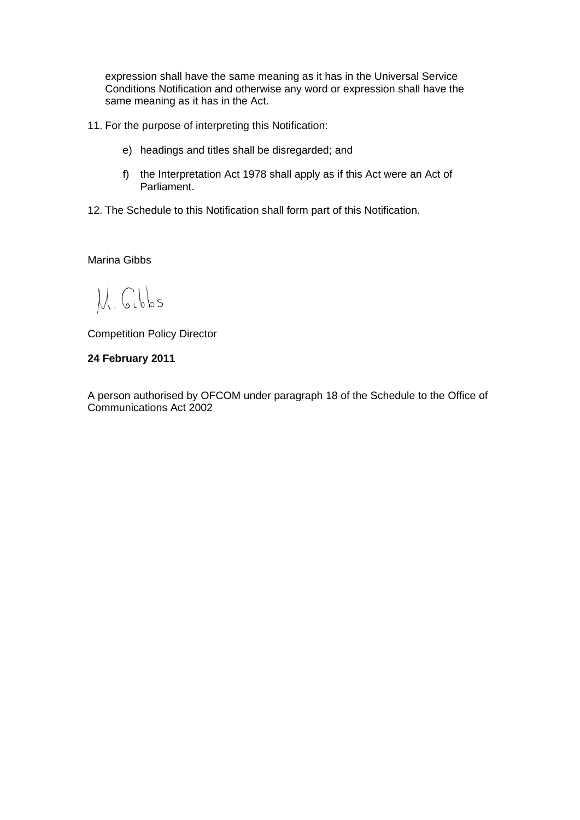expression shall have the same meaning as it has in the Universal Service Conditions Notification and otherwise any word or expression shall have the same meaning as it has in the Act.

- 11. For the purpose of interpreting this Notification:
	- e) headings and titles shall be disregarded; and
	- f) the Interpretation Act 1978 shall apply as if this Act were an Act of Parliament.
- 12. The Schedule to this Notification shall form part of this Notification.

Marina Gibbs

M. Gibbs

Competition Policy Director

## **24 February 2011**

A person authorised by OFCOM under paragraph 18 of the Schedule to the Office of Communications Act 2002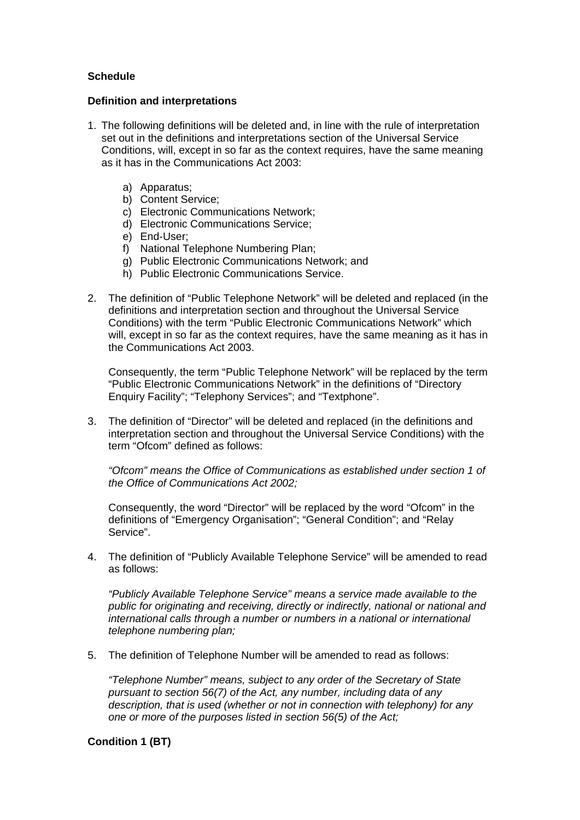## **Schedule**

## **Definition and interpretations**

- 1. The following definitions will be deleted and, in line with the rule of interpretation set out in the definitions and interpretations section of the Universal Service Conditions, will, except in so far as the context requires, have the same meaning as it has in the Communications Act 2003:
	- a) Apparatus;
	- b) Content Service;
	- c) Electronic Communications Network;
	- d) Electronic Communications Service;
	- e) End-User;
	- f) National Telephone Numbering Plan;
	- g) Public Electronic Communications Network; and
	- h) Public Electronic Communications Service.
- 2. The definition of "Public Telephone Network" will be deleted and replaced (in the definitions and interpretation section and throughout the Universal Service Conditions) with the term "Public Electronic Communications Network" which will, except in so far as the context requires, have the same meaning as it has in the Communications Act 2003.

Consequently, the term "Public Telephone Network" will be replaced by the term "Public Electronic Communications Network" in the definitions of "Directory Enquiry Facility"; "Telephony Services"; and "Textphone".

3. The definition of "Director" will be deleted and replaced (in the definitions and interpretation section and throughout the Universal Service Conditions) with the term "Ofcom" defined as follows:

*"Ofcom" means the Office of Communications as established under section 1 of the Office of Communications Act 2002;*

Consequently, the word "Director" will be replaced by the word "Ofcom" in the definitions of "Emergency Organisation"; "General Condition"; and "Relay Service".

4. The definition of "Publicly Available Telephone Service" will be amended to read as follows:

*"Publicly Available Telephone Service" means a service made available to the public for originating and receiving, directly or indirectly, national or national and international calls through a number or numbers in a national or international telephone numbering plan;*

5. The definition of Telephone Number will be amended to read as follows:

*"Telephone Number" means, subject to any order of the Secretary of State pursuant to section 56(7) of the Act, any number, including data of any description, that is used (whether or not in connection with telephony) for any one or more of the purposes listed in section 56(5) of the Act;*

## **Condition 1 (BT)**